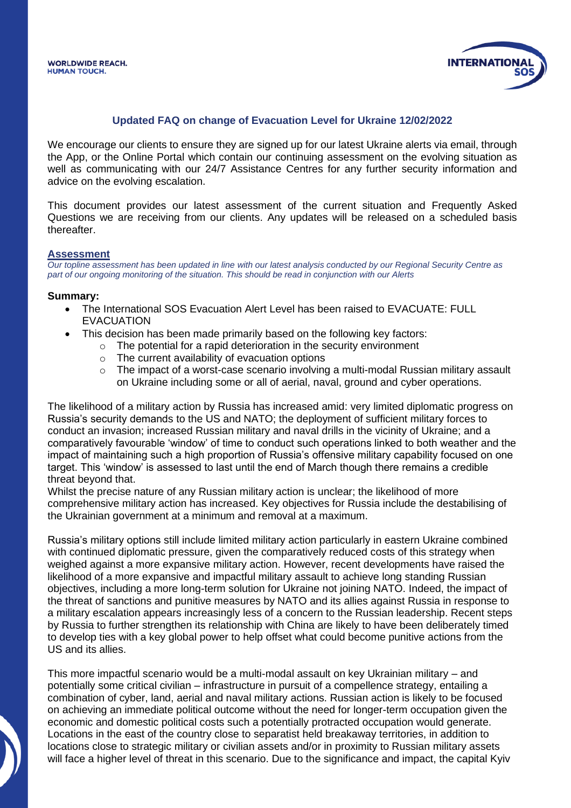

#### **Updated FAQ on change of Evacuation Level for Ukraine 12/02/2022**

We encourage our clients to ensure they are signed up for our latest Ukraine alerts via email, through the App, or the Online Portal which contain our continuing assessment on the evolving situation as well as communicating with our 24/7 Assistance Centres for any further security information and advice on the evolving escalation.

This document provides our latest assessment of the current situation and Frequently Asked Questions we are receiving from our clients. Any updates will be released on a scheduled basis thereafter.

#### **Assessment**

*Our topline assessment has been updated in line with our latest analysis conducted by our Regional Security Centre as part of our ongoing monitoring of the situation. This should be read in conjunction with our Alerts*

#### **Summary:**

- The International SOS Evacuation Alert Level has been raised to EVACUATE: FULL EVACUATION
	- This decision has been made primarily based on the following key factors:
		- $\circ$  The potential for a rapid deterioration in the security environment
			- $\circ$  The current availability of evacuation options
			- $\circ$  The impact of a worst-case scenario involving a multi-modal Russian military assault on Ukraine including some or all of aerial, naval, ground and cyber operations.

The likelihood of a military action by Russia has increased amid: very limited diplomatic progress on Russia's security demands to the US and NATO; the deployment of sufficient military forces to conduct an invasion; increased Russian military and naval drills in the vicinity of Ukraine; and a comparatively favourable 'window' of time to conduct such operations linked to both weather and the impact of maintaining such a high proportion of Russia's offensive military capability focused on one target. This 'window' is assessed to last until the end of March though there remains a credible threat beyond that.

Whilst the precise nature of any Russian military action is unclear; the likelihood of more comprehensive military action has increased. Key objectives for Russia include the destabilising of the Ukrainian government at a minimum and removal at a maximum.

Russia's military options still include limited military action particularly in eastern Ukraine combined with continued diplomatic pressure, given the comparatively reduced costs of this strategy when weighed against a more expansive military action. However, recent developments have raised the likelihood of a more expansive and impactful military assault to achieve long standing Russian objectives, including a more long-term solution for Ukraine not joining NATO. Indeed, the impact of the threat of sanctions and punitive measures by NATO and its allies against Russia in response to a military escalation appears increasingly less of a concern to the Russian leadership. Recent steps by Russia to further strengthen its relationship with China are likely to have been deliberately timed to develop ties with a key global power to help offset what could become punitive actions from the US and its allies.

This more impactful scenario would be a multi-modal assault on key Ukrainian military – and potentially some critical civilian – infrastructure in pursuit of a compellence strategy, entailing a combination of cyber, land, aerial and naval military actions. Russian action is likely to be focused on achieving an immediate political outcome without the need for longer-term occupation given the economic and domestic political costs such a potentially protracted occupation would generate. Locations in the east of the country close to separatist held breakaway territories, in addition to locations close to strategic military or civilian assets and/or in proximity to Russian military assets will face a higher level of threat in this scenario. Due to the significance and impact, the capital Kyiv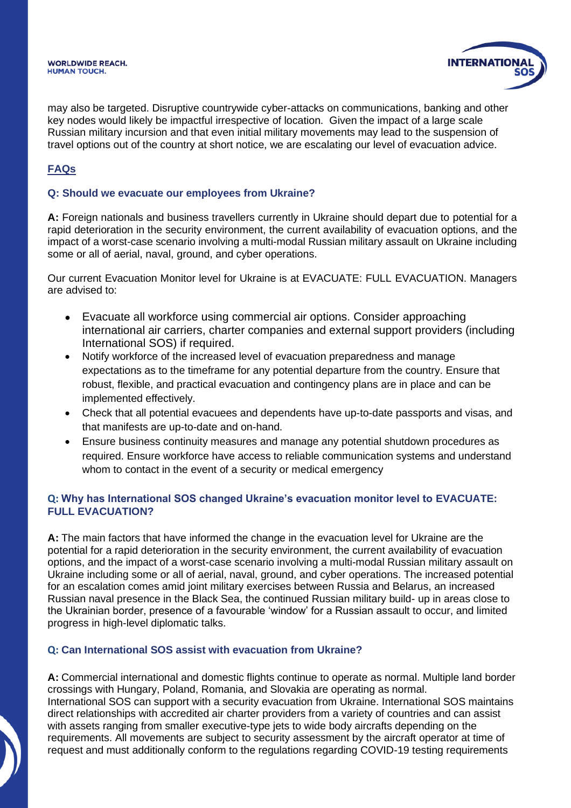#### **WORLDWIDE REACH. HUMAN TOUCH.**



may also be targeted. Disruptive countrywide cyber-attacks on communications, banking and other key nodes would likely be impactful irrespective of location. Given the impact of a large scale Russian military incursion and that even initial military movements may lead to the suspension of travel options out of the country at short notice, we are escalating our level of evacuation advice.

# **FAQs**

### **Q: Should we evacuate our employees from Ukraine?**

**A:** Foreign nationals and business travellers currently in Ukraine should depart due to potential for a rapid deterioration in the security environment, the current availability of evacuation options, and the impact of a worst-case scenario involving a multi-modal Russian military assault on Ukraine including some or all of aerial, naval, ground, and cyber operations.

Our current Evacuation Monitor level for Ukraine is at EVACUATE: FULL EVACUATION. Managers are advised to:

- Evacuate all workforce using commercial air options. Consider approaching international air carriers, charter companies and external support providers (including International SOS) if required.
- Notify workforce of the increased level of evacuation preparedness and manage expectations as to the timeframe for any potential departure from the country. Ensure that robust, flexible, and practical evacuation and contingency plans are in place and can be implemented effectively.
- Check that all potential evacuees and dependents have up-to-date passports and visas, and that manifests are up-to-date and on-hand.
- Ensure business continuity measures and manage any potential shutdown procedures as required. Ensure workforce have access to reliable communication systems and understand whom to contact in the event of a security or medical emergency

## **Q: Why has International SOS changed Ukraine's evacuation monitor level to EVACUATE: FULL EVACUATION?**

**A:** The main factors that have informed the change in the evacuation level for Ukraine are the potential for a rapid deterioration in the security environment, the current availability of evacuation options, and the impact of a worst-case scenario involving a multi-modal Russian military assault on Ukraine including some or all of aerial, naval, ground, and cyber operations. The increased potential for an escalation comes amid joint military exercises between Russia and Belarus, an increased Russian naval presence in the Black Sea, the continued Russian military build- up in areas close to the Ukrainian border, presence of a favourable 'window' for a Russian assault to occur, and limited progress in high-level diplomatic talks.

## **Q: Can International SOS assist with evacuation from Ukraine?**

**A:** Commercial international and domestic flights continue to operate as normal. Multiple land border crossings with Hungary, Poland, Romania, and Slovakia are operating as normal. International SOS can support with a security evacuation from Ukraine. International SOS maintains direct relationships with accredited air charter providers from a variety of countries and can assist with assets ranging from smaller executive-type jets to wide body aircrafts depending on the requirements. All movements are subject to security assessment by the aircraft operator at time of request and must additionally conform to the regulations regarding COVID-19 testing requirements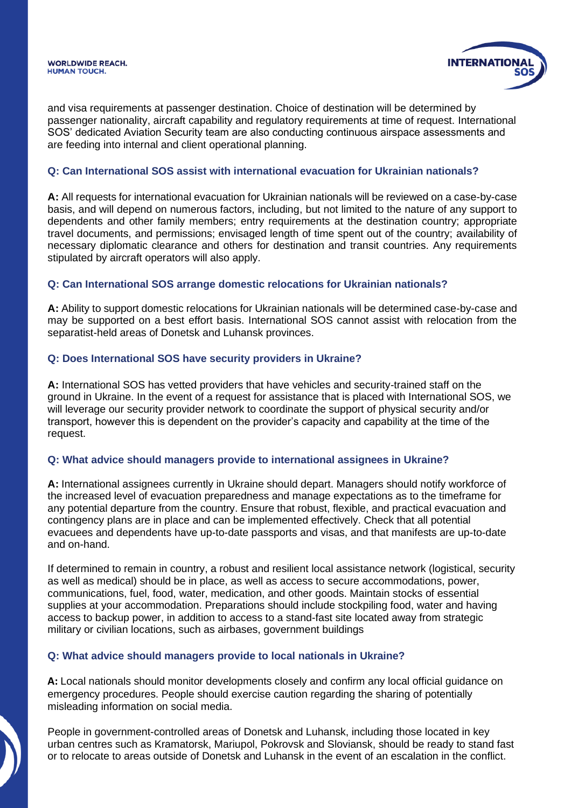

and visa requirements at passenger destination. Choice of destination will be determined by passenger nationality, aircraft capability and regulatory requirements at time of request. International SOS' dedicated Aviation Security team are also conducting continuous airspace assessments and are feeding into internal and client operational planning.

### **Q: Can International SOS assist with international evacuation for Ukrainian nationals?**

**A:** All requests for international evacuation for Ukrainian nationals will be reviewed on a case-by-case basis, and will depend on numerous factors, including, but not limited to the nature of any support to dependents and other family members; entry requirements at the destination country; appropriate travel documents, and permissions; envisaged length of time spent out of the country; availability of necessary diplomatic clearance and others for destination and transit countries. Any requirements stipulated by aircraft operators will also apply.

### **Q: Can International SOS arrange domestic relocations for Ukrainian nationals?**

**A:** Ability to support domestic relocations for Ukrainian nationals will be determined case-by-case and may be supported on a best effort basis. International SOS cannot assist with relocation from the separatist-held areas of Donetsk and Luhansk provinces.

### **Q: Does International SOS have security providers in Ukraine?**

**A:** International SOS has vetted providers that have vehicles and security-trained staff on the ground in Ukraine. In the event of a request for assistance that is placed with International SOS, we will leverage our security provider network to coordinate the support of physical security and/or transport, however this is dependent on the provider's capacity and capability at the time of the request.

#### **Q: What advice should managers provide to international assignees in Ukraine?**

**A:** International assignees currently in Ukraine should depart. Managers should notify workforce of the increased level of evacuation preparedness and manage expectations as to the timeframe for any potential departure from the country. Ensure that robust, flexible, and practical evacuation and contingency plans are in place and can be implemented effectively. Check that all potential evacuees and dependents have up-to-date passports and visas, and that manifests are up-to-date and on-hand.

If determined to remain in country, a robust and resilient local assistance network (logistical, security as well as medical) should be in place, as well as access to secure accommodations, power, communications, fuel, food, water, medication, and other goods. Maintain stocks of essential supplies at your accommodation. Preparations should include stockpiling food, water and having access to backup power, in addition to access to a stand-fast site located away from strategic military or civilian locations, such as airbases, government buildings

## **Q: What advice should managers provide to local nationals in Ukraine?**

**A:** Local nationals should monitor developments closely and confirm any local official guidance on emergency procedures. People should exercise caution regarding the sharing of potentially misleading information on social media.

People in government-controlled areas of Donetsk and Luhansk, including those located in key urban centres such as Kramatorsk, Mariupol, Pokrovsk and Sloviansk, should be ready to stand fast or to relocate to areas outside of Donetsk and Luhansk in the event of an escalation in the conflict.